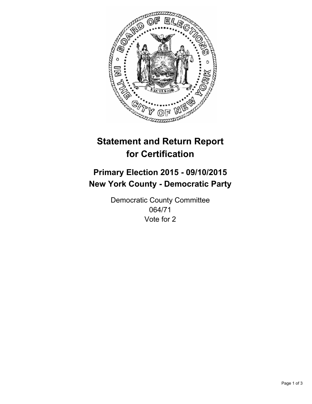

# **Statement and Return Report for Certification**

## **Primary Election 2015 - 09/10/2015 New York County - Democratic Party**

Democratic County Committee 064/71 Vote for 2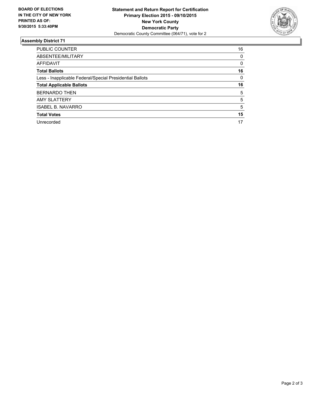

#### **Assembly District 71**

| PUBLIC COUNTER                                           | 16 |
|----------------------------------------------------------|----|
| ABSENTEE/MILITARY                                        | 0  |
| <b>AFFIDAVIT</b>                                         | 0  |
| <b>Total Ballots</b>                                     | 16 |
| Less - Inapplicable Federal/Special Presidential Ballots | 0  |
| <b>Total Applicable Ballots</b>                          | 16 |
| <b>BERNARDO THEN</b>                                     | 5  |
| <b>AMY SLATTERY</b>                                      | 5  |
| <b>ISABEL B. NAVARRO</b>                                 | 5  |
| <b>Total Votes</b>                                       | 15 |
| Unrecorded                                               | 17 |